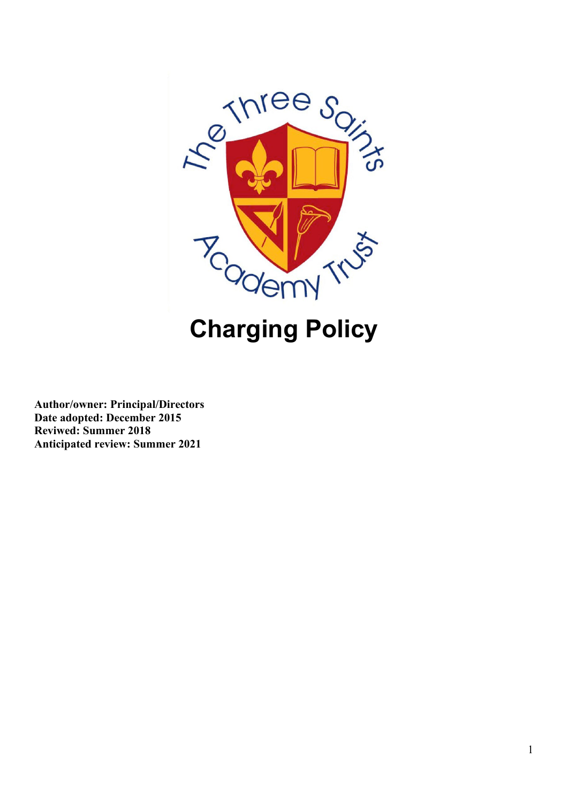

# **Charging Policy**

**Author/owner: Principal/Directors Date adopted: December 2015 Reviwed: Summer 2018 Anticipated review: Summer 2021**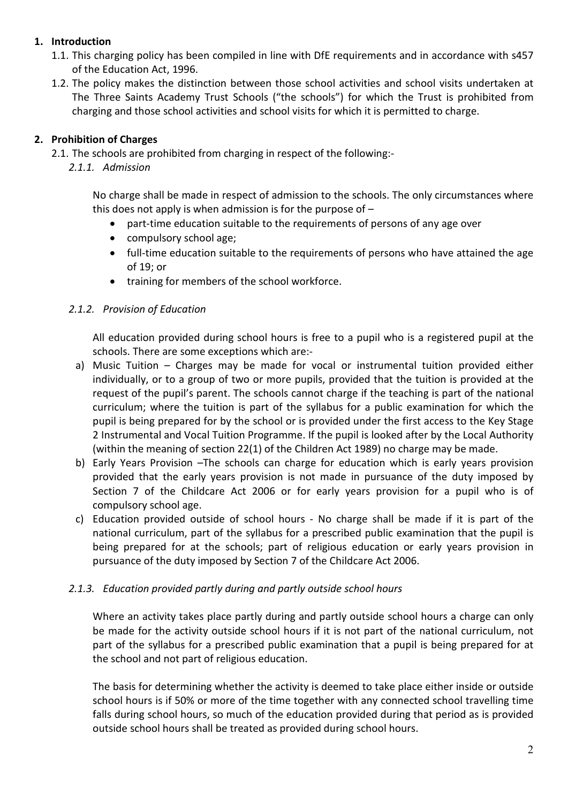# **1. Introduction**

- 1.1. This charging policy has been compiled in line with DfE requirements and in accordance with s457 of the Education Act, 1996.
- 1.2. The policy makes the distinction between those school activities and school visits undertaken at The Three Saints Academy Trust Schools ("the schools") for which the Trust is prohibited from charging and those school activities and school visits for which it is permitted to charge.

# **2. Prohibition of Charges**

- 2.1. The schools are prohibited from charging in respect of the following:-
	- *2.1.1. Admission*

No charge shall be made in respect of admission to the schools. The only circumstances where this does not apply is when admission is for the purpose of  $-$ 

- part-time education suitable to the requirements of persons of any age over
- compulsory school age;
- full-time education suitable to the requirements of persons who have attained the age of 19; or
- training for members of the school workforce.

## *2.1.2. Provision of Education*

All education provided during school hours is free to a pupil who is a registered pupil at the schools. There are some exceptions which are:-

- a) Music Tuition Charges may be made for vocal or instrumental tuition provided either individually, or to a group of two or more pupils, provided that the tuition is provided at the request of the pupil's parent. The schools cannot charge if the teaching is part of the national curriculum; where the tuition is part of the syllabus for a public examination for which the pupil is being prepared for by the school or is provided under the first access to the Key Stage 2 Instrumental and Vocal Tuition Programme. If the pupil is looked after by the Local Authority (within the meaning of section 22(1) of the Children Act 1989) no charge may be made.
- b) Early Years Provision –The schools can charge for education which is early years provision provided that the early years provision is not made in pursuance of the duty imposed by Section 7 of the Childcare Act 2006 or for early years provision for a pupil who is of compulsory school age.
- c) Education provided outside of school hours No charge shall be made if it is part of the national curriculum, part of the syllabus for a prescribed public examination that the pupil is being prepared for at the schools; part of religious education or early years provision in pursuance of the duty imposed by Section 7 of the Childcare Act 2006.

## *2.1.3. Education provided partly during and partly outside school hours*

Where an activity takes place partly during and partly outside school hours a charge can only be made for the activity outside school hours if it is not part of the national curriculum, not part of the syllabus for a prescribed public examination that a pupil is being prepared for at the school and not part of religious education.

The basis for determining whether the activity is deemed to take place either inside or outside school hours is if 50% or more of the time together with any connected school travelling time falls during school hours, so much of the education provided during that period as is provided outside school hours shall be treated as provided during school hours.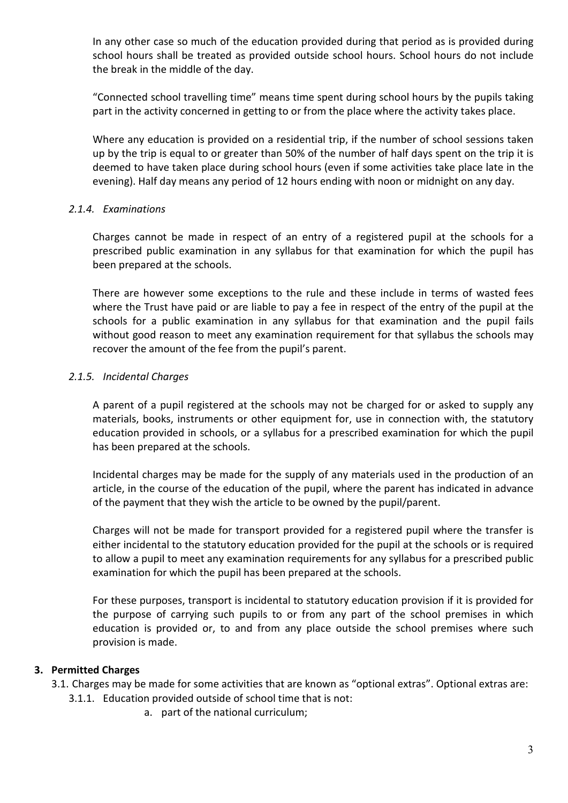In any other case so much of the education provided during that period as is provided during school hours shall be treated as provided outside school hours. School hours do not include the break in the middle of the day.

"Connected school travelling time" means time spent during school hours by the pupils taking part in the activity concerned in getting to or from the place where the activity takes place.

Where any education is provided on a residential trip, if the number of school sessions taken up by the trip is equal to or greater than 50% of the number of half days spent on the trip it is deemed to have taken place during school hours (even if some activities take place late in the evening). Half day means any period of 12 hours ending with noon or midnight on any day.

#### *2.1.4. Examinations*

Charges cannot be made in respect of an entry of a registered pupil at the schools for a prescribed public examination in any syllabus for that examination for which the pupil has been prepared at the schools.

There are however some exceptions to the rule and these include in terms of wasted fees where the Trust have paid or are liable to pay a fee in respect of the entry of the pupil at the schools for a public examination in any syllabus for that examination and the pupil fails without good reason to meet any examination requirement for that syllabus the schools may recover the amount of the fee from the pupil's parent.

#### *2.1.5. Incidental Charges*

A parent of a pupil registered at the schools may not be charged for or asked to supply any materials, books, instruments or other equipment for, use in connection with, the statutory education provided in schools, or a syllabus for a prescribed examination for which the pupil has been prepared at the schools.

Incidental charges may be made for the supply of any materials used in the production of an article, in the course of the education of the pupil, where the parent has indicated in advance of the payment that they wish the article to be owned by the pupil/parent.

Charges will not be made for transport provided for a registered pupil where the transfer is either incidental to the statutory education provided for the pupil at the schools or is required to allow a pupil to meet any examination requirements for any syllabus for a prescribed public examination for which the pupil has been prepared at the schools.

For these purposes, transport is incidental to statutory education provision if it is provided for the purpose of carrying such pupils to or from any part of the school premises in which education is provided or, to and from any place outside the school premises where such provision is made.

## **3. Permitted Charges**

- 3.1. Charges may be made for some activities that are known as "optional extras". Optional extras are:
	- 3.1.1. Education provided outside of school time that is not:
		- a. part of the national curriculum;